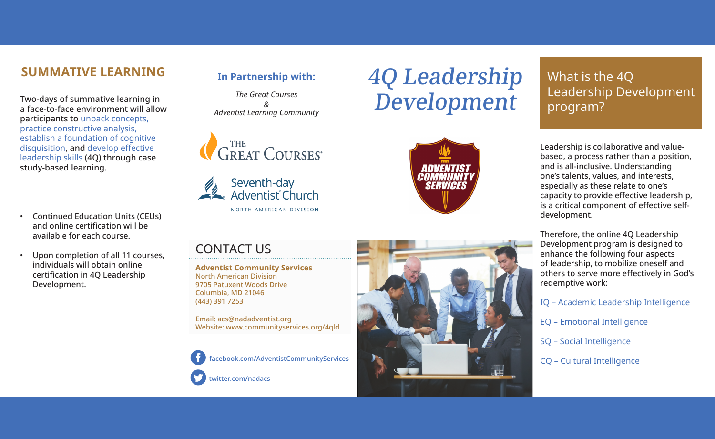# **SUMMATIVE LEARNING**

Two-days of summative learning in a face-to-face environment will allow participants to unpack concepts, practice constructive analysis, establish a foundation of cognitive disquisition, and develop effective leadership skills (4Q) through case study-based learning.

- Continued Education Units (CEUs) and online certification will be available for each course.
- Upon completion of all 11 courses, individuals will obtain online certification in 4Q Leadership Development.

## **In Partnership with:**

*The Great Courses & Adventist Learning Community*







4Q Leadership

Development

# What is the 4Q Leadership Development program?

Leadership is collaborative and valuebased, a process rather than a position, and is all-inclusive. Understanding one's talents, values, and interests, especially as these relate to one's capacity to provide effective leadership, is a critical component of effective selfdevelopment.

Therefore, the online 4Q Leadership Development program is designed to enhance the following four aspects of leadership, to mobilize oneself and others to serve more effectively in God's redemptive work:

IQ – Academic Leadership Intelligence

EQ – Emotional Intelligence

SQ – Social Intelligence

CQ – Cultural Intelligence

# CONTACT US

**Adventist Community Services** North American Division 9705 Patuxent Woods Drive Columbia, MD 21046 (443) 391 7253

Email: acs@nadadventist.org Website: www.communityservices.org/4qld

facebook.com/AdventistCommunityServices



twitter.com/nadacs